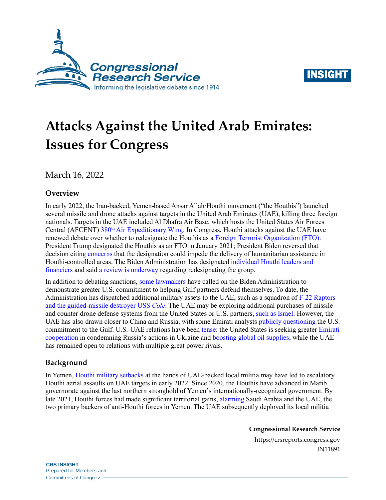



# **Attacks Against the United Arab Emirates: Issues for Congress**

March 16, 2022

## **Overview**

In early 2022, the Iran-backed, Yemen-based Ansar Allah/Houthi movement ("the Houthis") launched several missile and drone attacks against targets in the United Arab Emirates (UAE), killing three foreign nationals. Targets in the UAE included Al Dhafra Air Base, which hosts the United States Air Forces Central (AFCENT) 380<sup>th</sup> [Air Expeditionary Wing.](https://www.afcent.af.mil/Units/380th-Air-Expeditionary-Wing/Fact-Sheets/Article/445043/380th-air-expeditionary-wing/) In Congress, Houthi attacks against the UAE have renewed debate over whether to redesignate the Houthis as a [Foreign Terrorist Organization](https://crsreports.congress.gov/product/pdf/IN/IN11585) (FTO). President Trump designated the Houthis as an FTO in January 2021; President Biden reversed that decision citing [concerns](https://www.state.gov/revocation-of-the-terrorist-designations-of-ansarallah/) that the designation could impede the delivery of humanitarian assistance in Houthi-controlled areas. The Biden Administration has designated [individual Houthi leaders](https://home.treasury.gov/news/press-releases/jy0603) and [financiers](https://home.treasury.gov/news/press-releases/jy0603) and said [a review is underway](https://www.state.gov/?post_type=state_briefing&;p=92333%2F) regarding redesignating the group.

In addition to debating sanctions, [some lawmakers](https://efile.fara.gov/docs/3492-Informational-Materials-20220210-116.pdf) have called on the Biden Administration to demonstrate greater U.S. commitment to helping Gulf partners defend themselves. To date, the Administration has dispatched additional military assets to the UAE, such as a squadron of [F-22 Raptors](https://www.afcent.af.mil/News/Article/2933198/f-22-raptors-deploy-to-united-arab-emirates-in-show-of-support-to-region/)  [and the guided-missile destroyer](https://www.afcent.af.mil/News/Article/2933198/f-22-raptors-deploy-to-united-arab-emirates-in-show-of-support-to-region/) USS *Cole*. The UAE may be exploring additional purchases of missile and counter-drone defense systems from the United States or U.S. partners, [such as Israel.](https://breakingdefense.com/2022/01/amid-attacks-uae-quietly-asks-israel-about-defense-systems-sources/) However, the UAE has also drawn closer to China and Russia, with some Emirati analysts [publicly questioning](https://www.ft.com/content/3d38d37a-5fb1-41e2-84bf-c773f4a2aea9) the U.S. commitment to the Gulf. U.S.-UAE relations have been [tense:](https://www.reuters.com/world/middle-east/ties-between-uae-united-states-undergoing-stress-test-uae-envoy-says-2022-03-03/) the United States is seeking greater [Emirati](https://www.state.gov/secretary-blinkens-call-with-the-united-arab-emirates-foreign-minister-sheikh-abdullah-bin-zayed-2/)  [cooperation](https://www.state.gov/secretary-blinkens-call-with-the-united-arab-emirates-foreign-minister-sheikh-abdullah-bin-zayed-2/) in condemning Russia's actions in Ukraine and [boosting global oil supplies,](https://www.reuters.com/business/energy/uae-favors-oil-production-increase-media-citing-ambassador-us-2022-03-09/) while the UAE has remained open to relations with multiple great power rivals.

### **Background**

In Yemen, [Houthi military setbacks](https://www.washingtoninstitute.org/policy-analysis/breaking-point-consolidating-houthi-military-setbacks-yemen) at the hands of UAE-backed local militia may have led to escalatory Houthi aerial assaults on UAE targets in early 2022. Since 2020, the Houthis have advanced in Marib governorate against the last northern stronghold of Yemen's internationally-recognized government. By late 2021, Houthi forces had made significant territorial gains, [alarming](https://www.jpost.com/middle-east/battle-of-marib-could-be-nearing-key-point-affects-saudi-arabia-iran-683863) Saudi Arabia and the UAE, the two primary backers of anti-Houthi forces in Yemen. The UAE subsequently deployed its local militia

**Congressional Research Service**

https://crsreports.congress.gov IN11891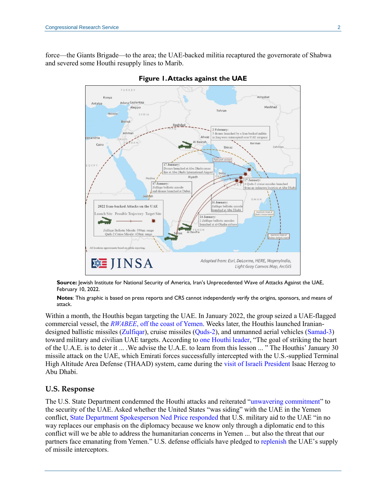force—the Giants Brigade—to the area; the UAE-backed militia recaptured the governorate of Shabwa and severed some Houthi resupply lines to Marib.



#### **Figure 1. Attacks against the UAE**

**Source:** Jewish Institute for National Security of America, Iran's Unprecedented Wave of Attacks Against the UAE, February 10, 2022.

**Notes**: This graphic is based on press reports and CRS cannot independently verify the origins, sponsors, and means of attack.

Within a month, the Houthis began targeting the UAE. In January 2022, the group seized a UAE-flagged commercial vessel, the *RWABEE*[, off the coast of Yemen.](https://www.un.org/press/en/2022/sc14765.doc.htm) Weeks later, the Houthis launched Iraniandesigned ballistic missiles [\(Zulfiqar\)](https://rusi.org/explore-our-research/publications/commentary/lessons-houthi-missile-attacks-uae), cruise missiles [\(Quds-2\)](https://www.iiss.org/blogs/military-balance/2020/12/cruise-missiles-in-the-middle-east), and unmanned aerial vehicles [\(Samad-3\)](https://www.france24.com/en/live-news/20220127-cheap-and-nasty-yemen-s-home-grown-drones-pose-challenge-for-uae) toward military and civilian UAE targets. According to [one Houthi leader,](https://www.nytimes.com/2022/01/17/world/middleeast/uae-attack-yemen-houthi.html) "The goal of striking the heart of the U.A.E. is to deter it ... .We advise the U.A.E. to learn from this lesson ... " The Houthis' January 30 missile attack on the UAE, which Emirati forces successfully intercepted with the U.S.-supplied Terminal High Altitude Area Defense (THAAD) system, came during the visit [of Israeli President](https://www.politico.com/news/2022/01/30/israel-president-on-first-visit-to-uae-amid-regional-tensions-00003468) Isaac Herzog to Abu Dhabi.

#### **U.S. Response**

The U.S. State Department condemned the Houthi attacks and reiterated ["unwavering commitment"](https://ae.usembassy.gov/statment-by-ned-price-on-attacks-in-abu-dhabi/) to the security of the UAE. Asked whether the United States "was siding" with the UAE in the Yemen conflict, [State Department Spokesperson Ned Price responded](https://www.state.gov/briefings/department-press-briefing-february-14-2022/) that U.S. military aid to the UAE "in no way replaces our emphasis on the diplomacy because we know only through a diplomatic end to this conflict will we be able to address the humanitarian concerns in Yemen ... but also the threat that our partners face emanating from Yemen." U.S. defense officials have pledged to [replenish](https://www.usnews.com/news/world/articles/2022-02-10/exclusive-u-s-to-help-uae-replenish-missile-defense-interceptors-after-houthi-attacks) the UAE's supply of missile interceptors.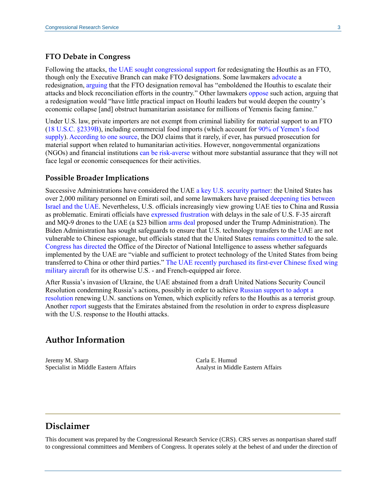#### **FTO Debate in Congress**

Following the attacks, [the UAE sought congressional support](https://www.uae-embassy.org/uae-us-cooperation/security/case-designating-houthis-foreign-terrorist-organization) for redesignating the Houthis as an FTO, though only the Executive Branch can make FTO designations. Some lawmakers [advocate](https://tenney.house.gov/sites/evo-subsites/tenney.house.gov/files/evo-media-document/Houthi%20Letter_FINAL_0.pdf) a redesignation, [arguing](https://jewishinsider.com/wp-content/uploads/2022/02/20220209_Letter-to-Biden-irt-Houthi-Designation-With-Watermark.pdf) that the FTO designation removal has "emboldened the Houthis to escalate their attacks and block reconciliation efforts in the country." Other lawmakers [oppose](https://www.murphy.senate.gov/newsroom/press-releases/murphy-leads-senate-colleagues-in-urging-biden-administration-against-re-designation-of-houthi-movement-in-yemen-as-a-foreign-terrorist-organization) such action, arguing that a redesignation would "have little practical impact on Houthi leaders but would deepen the country's economic collapse [and] obstruct humanitarian assistance for millions of Yemenis facing famine."

Under U.S. law, private importers are not exempt from criminal liability for material support to an FTO [\(18 U.S.C. §2339B\)](https://www.law.cornell.edu/uscode/text/18/2339B), including commercial food imports (which account for [90% of Yemen's food](https://oi-files-d8-prod.s3.eu-west-2.amazonaws.com/s3fs-public/file_attachments/bn-missiles-food-security-yemen-041217-en.pdf)  [supply\)](https://oi-files-d8-prod.s3.eu-west-2.amazonaws.com/s3fs-public/file_attachments/bn-missiles-food-security-yemen-041217-en.pdf). [According to one source,](https://cdn.americanprogress.org/wp-content/uploads/issues/2011/11/pdf/unintended_roadblocks.pdf?_ga=2.188894190.450152517.1647181993-392532629.1647181993) the DOJ claims that it rarely, if ever, has pursued prosecution for material support when related to humanitarian activities. However, nongovernmental organizations (NGOs) and financial institution[s can be risk-averse](https://fews.net/east-africa/yemen/food-security-outlook-update/december-2020) without more substantial assurance that they will not face legal or economic consequences for their activities.

#### **Possible Broader Implications**

Successive Administrations have considered the UAE [a key U.S. security partner:](https://crsreports.congress.gov/product/pdf/RS/RS21852#_Toc86655624) the United States has over 2,000 military personnel on Emirati soil, and some lawmakers have praised [deepening ties between](https://wagner.house.gov/media-center/press-releases/wagner-colleagues-launch-abraham-accords-caucus)  [Israel and the UAE.](https://wagner.house.gov/media-center/press-releases/wagner-colleagues-launch-abraham-accords-caucus) Nevertheless, U.S. officials increasingly view growing UAE ties to China and Russia as problematic. Emirati officials have [expressed frustration](https://www.wsj.com/articles/united-arab-emirates-threatens-to-pull-out-of-23-billion-f-35-drone-deal-with-u-s-11639491997) with delays in the sale of U.S. F-35 aircraft and MQ-9 drones to the UAE (a \$23 billion [arms deal](https://crsreports.congress.gov/product/pdf/R/R46580) proposed under the Trump Administration). The Biden Administration has sought safeguards to ensure that U.S. technology transfers to the UAE are not vulnerable to Chinese espionage, but officials stated that the United States [remains committed](https://plus.cq.com/doc/congressionaltranscripts-6468697?5&searchId=DWXZ134C) to the sale. [Congress has directed](https://plus.cq.com/doc/news-6481874?0&srcpage=home&srcsec=cqn) the Office of the Director of National Intelligence to assess whether safeguards implemented by the UAE are "viable and sufficient to protect technology of the United States from being transferred to China or other third parties." [The UAE recently purchased its first-ever Chinese fixed wing](https://breakingdefense.com/2022/02/uae-agrees-to-buy-its-first-chinese-fixed-wing-military-aircraft-j-15/)  [military](https://breakingdefense.com/2022/02/uae-agrees-to-buy-its-first-chinese-fixed-wing-military-aircraft-j-15/) aircraft for its otherwise U.S. - and French-equipped air force.

After Russia's invasion of Ukraine, the UAE abstained from a draft United Nations Security Council Resolution condemning Russia's actions, possibly in order to achieve [Russian support to adopt a](https://foreignpolicy.com/2022/03/01/yemen-war-terrorism-un-houthi-uae-russia/)  [resolution](https://foreignpolicy.com/2022/03/01/yemen-war-terrorism-un-houthi-uae-russia/) renewing U.N. sanctions on Yemen, which explicitly refers to the Houthis as a terrorist group. Another [report](https://www.axios.com/uae-security-council-russia-vote-us-houthi-attacks-93c3d93a-9b55-4bb5-9917-54605d1169a4.html) suggests that the Emirates abstained from the resolution in order to express displeasure with the U.S. response to the Houthi attacks.

## **Author Information**

Jeremy M. Sharp Specialist in Middle Eastern Affairs Carla E. Humud Analyst in Middle Eastern Affairs

# **Disclaimer**

This document was prepared by the Congressional Research Service (CRS). CRS serves as nonpartisan shared staff to congressional committees and Members of Congress. It operates solely at the behest of and under the direction of